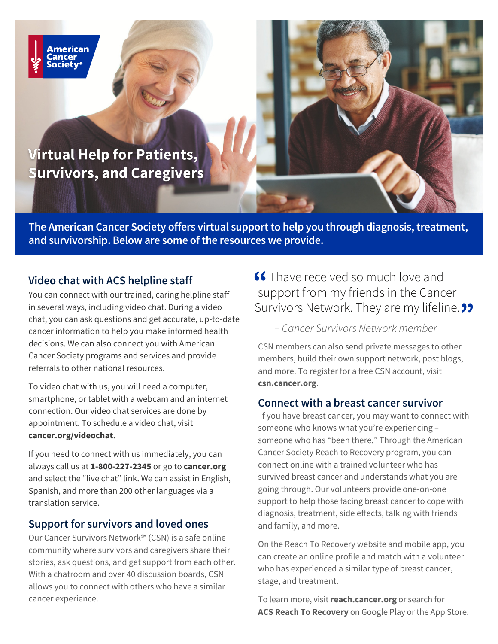

### **Virtual Help for Patients, Survivors, and Caregivers**

**The American Cancer Society offers virtual supportto help you through diagnosis,treatment, and survivorship. Below are some ofthe resources we provide.**

#### **Video chat with ACS helpline staff**

You can connect with our trained, caring helpline staff in several ways, including video chat. During a video chat, you can ask questions and get accurate, up-to-date cancer information to help you make informed health decisions. We can also connect you with American Cancer Society programs and services and provide referrals to other national resources.

To video chat with us, you will need a computer, smartphone, or tablet with a webcam and an internet connection. Our video chat services are done by appointment. To schedule a video chat, visit **[cancer.org/videochat](http://cancer.org/videochat)**.

If you need to connect with us immediately, you can always call us at **1-800-227-2345** or go to **[cancer.org](http://cancer.org/)** and select the "live chat" link. We can assist in English, Spanish, and more than 200 other languages via a translation service.

#### **Support for survivors and loved ones**

Our Cancer Survivors Network<sup>™</sup> (CSN) is a safe online community where survivors and caregivers share their stories, ask questions, and get support from each other. With a chatroom and over 40 discussion boards, CSN allows you to connect with others who have a similar cancer experience.

## **6** I have received so much love and support from my friends in the Cancer Survivors Network. They are my lifeline. **"**

#### – Cancer Survivors Network member

CSN members can also send private messages to other members, build their own support network, post blogs, and more. To register for a free CSN account, visit **csn.cancer.org**.

#### **Connect with a breast cancer survivor**

If you have breast cancer, you may want to connect with someone who knows what you're experiencing – someone who has "been there." Through the American Cancer Society Reach to Recovery program, you can connect online with a trained volunteer who has survived breast cancer and understands what you are going through. Our volunteers provide one-on-one support to help those facing breast cancer to cope with diagnosis, treatment, side effects, talking with friends and family, and more.

On the Reach To Recovery website and mobile app, you can create an online profile and match with a volunteer who has experienced a similar type of breast cancer, stage, and treatment.

To learn more, visit**[reach.cancer.org](http://reach.cancer.org/)** or search for **ACS Reach To Recovery** on Google Play or the App Store.